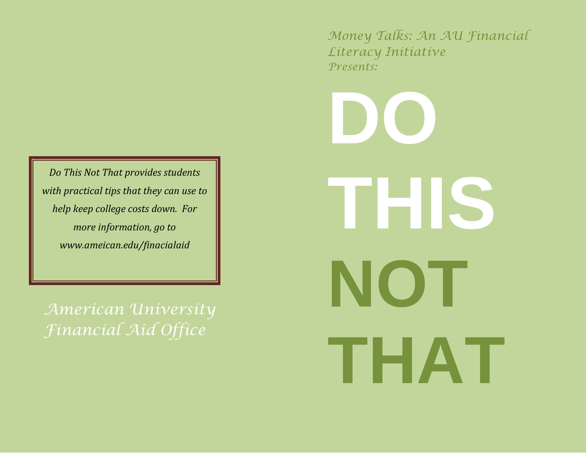*Do This Not That provides students with practical tips that they can use to help keep college costs down. For more information, go to www.ameican.edu/finacialaid*

*American University Financial Aid Office*

*Money Talks: An AU Financial Literacy Initiative Presents:*

**DO THIS NOT THAT**